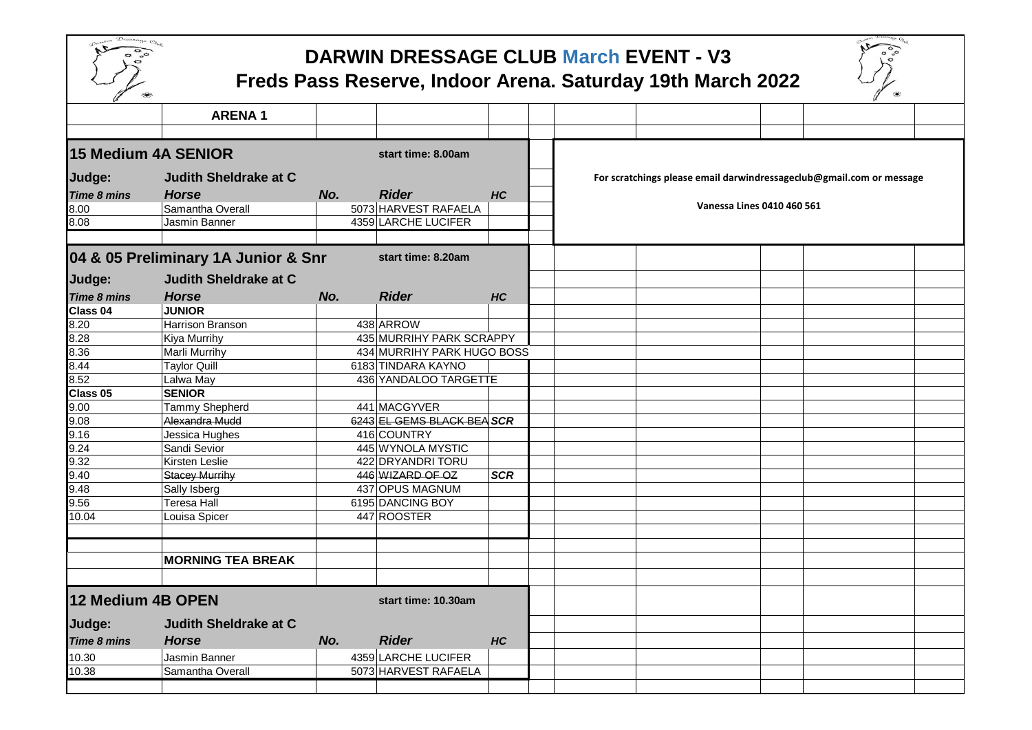

## **DARWIN DRESSAGE CLUB March EVENT - V3**

## **Freds Pass Reserve, Indoor Arena. Saturday 19th March 2022**

| U<br>$\infty$                            |                                     |     |                            |                |  |                                                                      | ∥ |  |
|------------------------------------------|-------------------------------------|-----|----------------------------|----------------|--|----------------------------------------------------------------------|---|--|
|                                          | <b>ARENA1</b>                       |     |                            |                |  |                                                                      |   |  |
|                                          |                                     |     |                            |                |  |                                                                      |   |  |
| <b>15 Medium 4A SENIOR</b>               |                                     |     | start time: 8.00am         |                |  |                                                                      |   |  |
| Judge:                                   | <b>Judith Sheldrake at C</b>        |     |                            |                |  | For scratchings please email darwindressageclub@gmail.com or message |   |  |
| Time 8 mins                              | <b>Horse</b>                        | No. | <b>Rider</b>               | HC             |  |                                                                      |   |  |
| 8.00                                     | Samantha Overall                    |     | 5073 HARVEST RAFAELA       |                |  | Vanessa Lines 0410 460 561                                           |   |  |
| 8.08                                     | Jasmin Banner                       |     | 4359 LARCHE LUCIFER        |                |  |                                                                      |   |  |
|                                          |                                     |     |                            |                |  |                                                                      |   |  |
|                                          | 04 & 05 Preliminary 1A Junior & Snr |     | start time: 8.20am         |                |  |                                                                      |   |  |
| Judge:                                   | <b>Judith Sheldrake at C</b>        |     |                            |                |  |                                                                      |   |  |
| Time 8 mins                              | <b>Horse</b>                        | No. | <b>Rider</b>               | HC             |  |                                                                      |   |  |
| Class 04                                 | <b>JUNIOR</b>                       |     |                            |                |  |                                                                      |   |  |
| 8.20                                     | Harrison Branson                    |     | 438 ARROW                  |                |  |                                                                      |   |  |
| 8.28                                     | Kiya Murrihy                        |     | 435 MURRIHY PARK SCRAPPY   |                |  |                                                                      |   |  |
| 8.36                                     | Marli Murrihy                       |     | 434 MURRIHY PARK HUGO BOSS |                |  |                                                                      |   |  |
| 8.44                                     | <b>Taylor Quill</b>                 |     | 6183 TINDARA KAYNO         |                |  |                                                                      |   |  |
| 8.52                                     | Lalwa May                           |     | 436 YANDALOO TARGETTE      |                |  |                                                                      |   |  |
| Class 05                                 | <b>SENIOR</b>                       |     |                            |                |  |                                                                      |   |  |
| 9.00                                     | <b>Tammy Shepherd</b>               |     | 441 MACGYVER               |                |  |                                                                      |   |  |
| 9.08                                     | Alexandra Mudd                      |     | 6243 EL GEMS BLACK BEA SCR |                |  |                                                                      |   |  |
| 9.16                                     | Jessica Hughes                      |     | 416 COUNTRY                |                |  |                                                                      |   |  |
| 9.24                                     | Sandi Sevior                        |     | 445 WYNOLA MYSTIC          |                |  |                                                                      |   |  |
| 9.32                                     | Kirsten Leslie                      |     | 422 DRYANDRI TORU          |                |  |                                                                      |   |  |
| 9.40                                     | Stacey Murrihy                      |     | 446 WIZARD OF OZ           | <b>SCR</b>     |  |                                                                      |   |  |
| 9.48                                     | Sally Isberg                        |     | 437 OPUS MAGNUM            |                |  |                                                                      |   |  |
| 9.56                                     | <b>Teresa Hall</b>                  |     | 6195 DANCING BOY           |                |  |                                                                      |   |  |
| 10.04                                    | Louisa Spicer                       |     | 447 ROOSTER                |                |  |                                                                      |   |  |
|                                          |                                     |     |                            |                |  |                                                                      |   |  |
|                                          |                                     |     |                            |                |  |                                                                      |   |  |
|                                          | <b>MORNING TEA BREAK</b>            |     |                            |                |  |                                                                      |   |  |
|                                          |                                     |     |                            |                |  |                                                                      |   |  |
| 12 Medium 4B OPEN<br>start time: 10.30am |                                     |     |                            |                |  |                                                                      |   |  |
| Judge:                                   | <b>Judith Sheldrake at C</b>        |     |                            |                |  |                                                                      |   |  |
| <b>Time 8 mins</b>                       | <b>Horse</b>                        | No. | <b>Rider</b>               | H <sub>C</sub> |  |                                                                      |   |  |
| 10.30                                    | Jasmin Banner                       |     | 4359 LARCHE LUCIFER        |                |  |                                                                      |   |  |
| 10.38                                    | Samantha Overall                    |     | 5073 HARVEST RAFAELA       |                |  |                                                                      |   |  |
|                                          |                                     |     |                            |                |  |                                                                      |   |  |
|                                          |                                     |     |                            |                |  |                                                                      |   |  |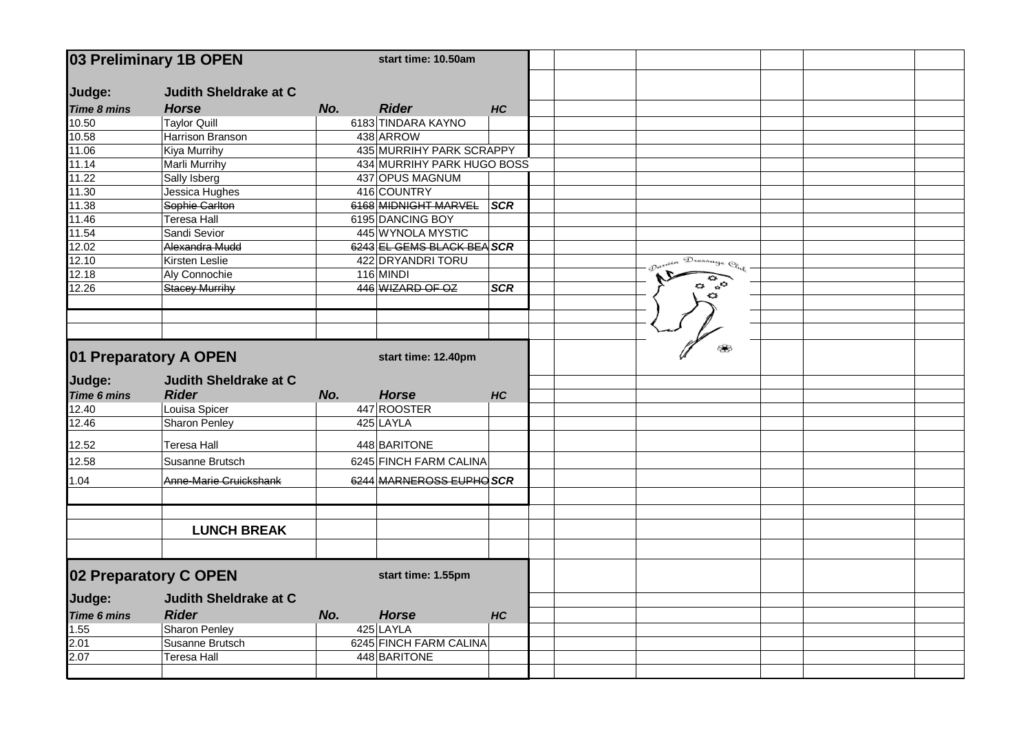| 03 Preliminary 1B OPEN |                              | start time: 10.50am |                            |            |                      |  |  |
|------------------------|------------------------------|---------------------|----------------------------|------------|----------------------|--|--|
| Judge:                 | <b>Judith Sheldrake at C</b> |                     |                            |            |                      |  |  |
| <b>Time 8 mins</b>     | <b>Horse</b>                 | No.                 | <b>Rider</b>               | HC         |                      |  |  |
| 10.50                  | <b>Taylor Quill</b>          |                     | 6183 TINDARA KAYNO         |            |                      |  |  |
| 10.58                  | <b>Harrison Branson</b>      |                     | 438 ARROW                  |            |                      |  |  |
| 11.06                  | <b>Kiya Murrihy</b>          |                     | 435 MURRIHY PARK SCRAPPY   |            |                      |  |  |
| 11.14                  | <b>Marli Murrihy</b>         |                     | 434 MURRIHY PARK HUGO BOSS |            |                      |  |  |
| 11.22                  | Sally Isberg                 |                     | 437 OPUS MAGNUM            |            |                      |  |  |
| 11.30                  | Jessica Hughes               |                     | 416 COUNTRY                |            |                      |  |  |
| 11.38                  | Sophie Carlton               |                     | 6168 MIDNIGHT MARVEL       | <b>SCR</b> |                      |  |  |
| 11.46                  | <b>Teresa Hall</b>           |                     | 6195 DANCING BOY           |            |                      |  |  |
| 11.54                  | Sandi Sevior                 |                     | 445 WYNOLA MYSTIC          |            |                      |  |  |
| $\sqrt{12.02}$         | Alexandra Mudd               |                     | 6243 EL GEMS BLACK BEA SCR |            |                      |  |  |
| 12.10                  | Kirsten Leslie               |                     | 422 DRYANDRI TORU          |            | Davein Dressage Club |  |  |
| 12.18                  | Aly Connochie                |                     | $116$ MINDI                |            |                      |  |  |
| 12.26                  | <b>Stacey Murrihy</b>        |                     | 446 WIZARD OF OZ           | <b>SCR</b> |                      |  |  |
|                        |                              |                     |                            |            |                      |  |  |
|                        |                              |                     |                            |            |                      |  |  |
|                        |                              |                     |                            |            |                      |  |  |
|                        | 01 Preparatory A OPEN        |                     | start time: 12.40pm        |            | ₩                    |  |  |
| Judge:                 | <b>Judith Sheldrake at C</b> |                     |                            |            |                      |  |  |
| <b>Time 6 mins</b>     | <b>Rider</b>                 | No.                 | <b>Horse</b>               | HC         |                      |  |  |
| 12.40                  | Louisa Spicer                |                     | 447 ROOSTER                |            |                      |  |  |
| 12.46                  | <b>Sharon Penley</b>         |                     | 425 LAYLA                  |            |                      |  |  |
| 12.52                  | <b>Teresa Hall</b>           |                     | 448 BARITONE               |            |                      |  |  |
| 12.58                  | Susanne Brutsch              |                     | 6245 FINCH FARM CALINA     |            |                      |  |  |
| 1.04                   | Anne-Marie Cruickshank       |                     | 6244 MARNEROSS EUPHO SCR   |            |                      |  |  |
|                        |                              |                     |                            |            |                      |  |  |
|                        |                              |                     |                            |            |                      |  |  |
|                        | <b>LUNCH BREAK</b>           |                     |                            |            |                      |  |  |
|                        |                              |                     |                            |            |                      |  |  |
|                        | 02 Preparatory C OPEN        |                     | start time: 1.55pm         |            |                      |  |  |
| Judge:                 | <b>Judith Sheldrake at C</b> |                     |                            |            |                      |  |  |
| Time 6 mins            | <b>Rider</b>                 | No.                 | <b>Horse</b>               | <b>HC</b>  |                      |  |  |
| 1.55                   | Sharon Penley                |                     | $425$ LAYLA                |            |                      |  |  |
| 2.01                   | Susanne Brutsch              |                     | 6245 FINCH FARM CALINA     |            |                      |  |  |
| 2.07                   | <b>Teresa Hall</b>           |                     | 448 BARITONE               |            |                      |  |  |
|                        |                              |                     |                            |            |                      |  |  |